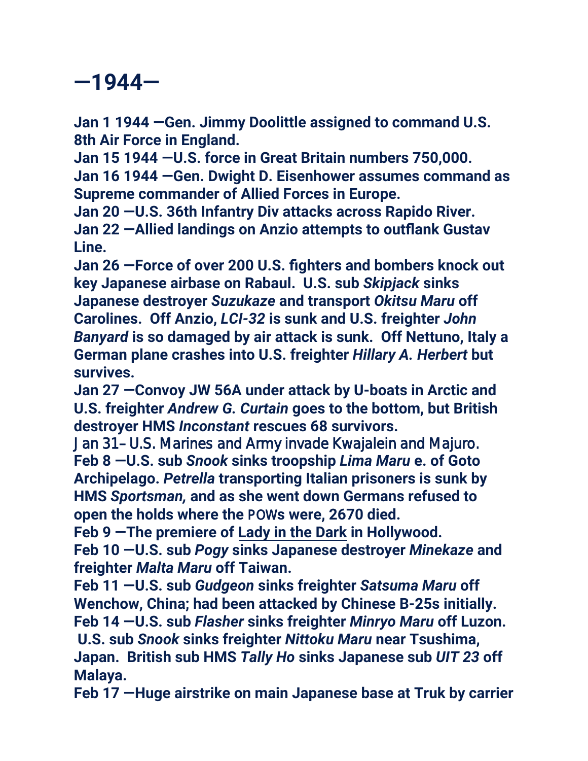## **—1944—**

**Jan 1 1944 —Gen. Jimmy Doolittle assigned to command U.S. 8th Air Force in England.**

**Jan 15 1944 —U.S. force in Great Britain numbers 750,000. Jan 16 1944 —Gen. Dwight D. Eisenhower assumes command as Supreme commander of Allied Forces in Europe.**

**Jan 20 —U.S. 36th Infantry Div attacks across Rapido River. Jan 22 —Allied landings on Anzio attempts to outflank Gustav Line.**

**Jan 26 —Force of over 200 U.S. fighters and bombers knock out key Japanese airbase on Rabaul. U.S. sub** *Skipjack* **sinks Japanese destroyer** *Suzukaze* **and transport** *Okitsu Maru* **off Carolines. Off Anzio,** *LCI-32* **is sunk and U.S. freighter** *John Banyard* **is so damaged by air attack is sunk. Off Nettuno, Italy a German plane crashes into U.S. freighter** *Hillary A. Herbert* **but survives.**

**Jan 27 —Convoy JW 56A under attack by U-boats in Arctic and U.S. freighter** *Andrew G. Curtain* **goes to the bottom, but British destroyer HMS** *Inconstant* **rescues 68 survivors.**

**Feb 8 —U.S. sub** *Snook* **sinks troopship** *Lima Maru* **e. of Goto Archipelago.** *Petrella* **transporting Italian prisoners is sunk by HMS** *Sportsman,* **and as she went down Germans refused to open the holds where the** POW**s were, 2670 died.** Jan 31—U.S. Marines and Army invade Kwajalein and Majuro.

**Feb 9 —The premiere of Lady in the Dark in Hollywood. Feb 10 —U.S. sub** *Pogy* **sinks Japanese destroyer** *Minekaze* **and freighter** *Malta Maru* **off Taiwan.**

**Feb 11 —U.S. sub** *Gudgeon* **sinks freighter** *Satsuma Maru* **off Wenchow, China; had been attacked by Chinese B-25s initially. Feb 14 —U.S. sub** *Flasher* **sinks freighter** *Minryo Maru* **off Luzon.**

**U.S. sub** *Snook* **sinks freighter** *Nittoku Maru* **near Tsushima, Japan. British sub HMS** *Tally Ho* **sinks Japanese sub** *UIT 23* **off Malaya.**

**Feb 17 —Huge airstrike on main Japanese base at Truk by carrier**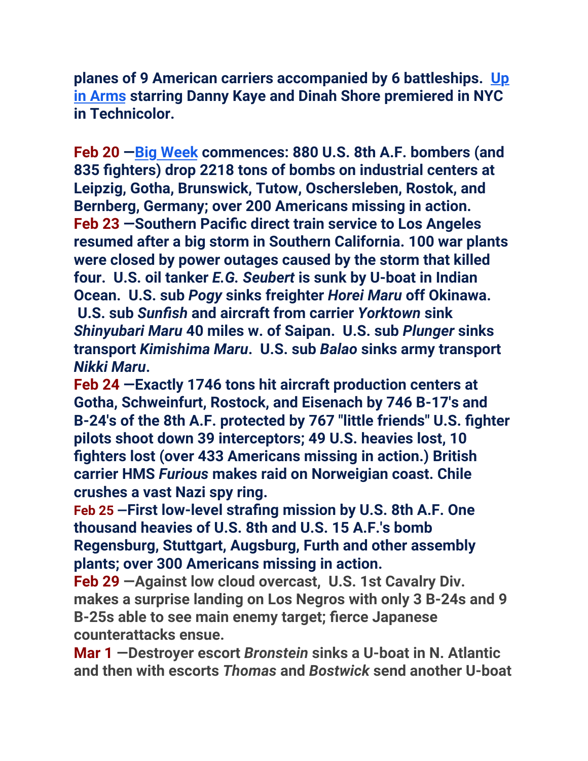**planes of 9 American carriers accompanied by 6 battleships.  [Up](https://www.youtube.com/watch?v=WfvIfTNO4Wo)  [in Arms](https://www.youtube.com/watch?v=WfvIfTNO4Wo) starring Danny Kaye and Dinah Shore premiered in NYC in Technicolor.** 

**Feb 20 [—Big Week](https://www.youtube.com/watch?v=p5qj0G2P5cQ) commences: 880 U.S. 8th A.F. bombers (and 835 fighters) drop 2218 tons of bombs on industrial centers at Leipzig, Gotha, Brunswick, Tutow, Oschersleben, Rostok, and Bernberg, Germany; over 200 Americans missing in action. Feb 23 —Southern Pacific direct train service to Los Angeles resumed after a big storm in Southern California. 100 war plants were closed by power outages caused by the storm that killed four. U.S. oil tanker** *E.G. Seubert* **is sunk by U-boat in Indian Ocean. U.S. sub** *Pogy* **sinks freighter** *Horei Maru* **off Okinawa. U.S. sub** *Sunfish* **and aircraft from carrier** *Yorktown* **sink**  *Shinyubari Maru* **40 miles w. of Saipan. U.S. sub** *Plunger* **sinks transport** *Kimishima Maru***. U.S. sub** *Balao* **sinks army transport**  *Nikki Maru***.** 

**Feb 24 —Exactly 1746 tons hit aircraft production centers at Gotha, Schweinfurt, Rostock, and Eisenach by 746 B-17's and B-24's of the 8th A.F. protected by 767 "little friends" U.S. fighter pilots shoot down 39 interceptors; 49 U.S. heavies lost, 10 fighters lost (over 433 Americans missing in action.) British carrier HMS** *Furious* **makes raid on Norweigian coast. Chile crushes a vast Nazi spy ring.**

**Feb 25 —First low-level strafing mission by U.S. 8th A.F. One thousand heavies of U.S. 8th and U.S. 15 A.F.'s bomb Regensburg, Stuttgart, Augsburg, Furth and other assembly plants; over 300 Americans missing in action.** 

**Feb 29 —Against low cloud overcast, U.S. 1st Cavalry Div. makes a surprise landing on Los Negros with only 3 B-24s and 9 B-25s able to see main enemy target; fierce Japanese counterattacks ensue.**

**Mar 1 —Destroyer escort** *Bronstein* **sinks a U-boat in N. Atlantic and then with escorts** *Thomas* **and** *Bostwick* **send another U-boat**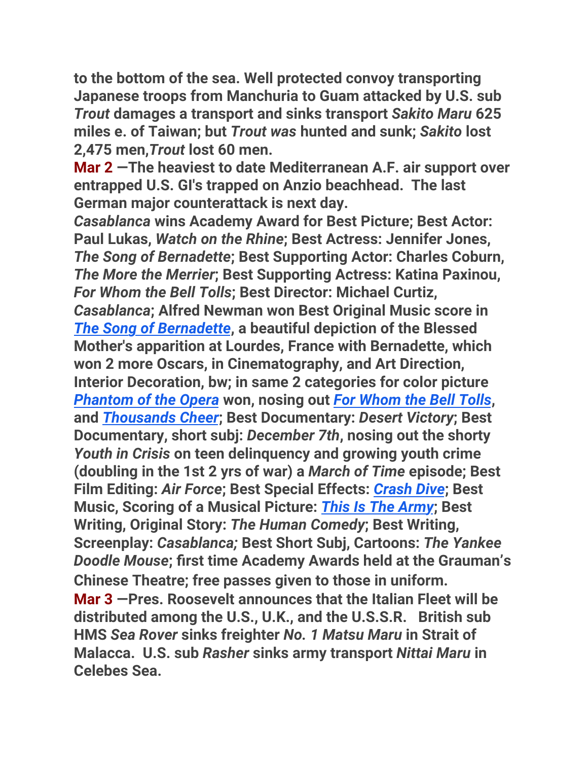**to the bottom of the sea. Well protected convoy transporting Japanese troops from Manchuria to Guam attacked by U.S. sub**  *Trout* **damages a transport and sinks transport** *Sakito Maru* **625 miles e. of Taiwan; but** *Trout was* **hunted and sunk;** *Sakito* **lost 2,475 men,***Trout* **lost 60 men.**

**Mar 2 —The heaviest to date Mediterranean A.F. air support over entrapped U.S. GI's trapped on Anzio beachhead. The last German major counterattack is next day.** 

*Casablanca* **wins Academy Award for Best Picture; Best Actor: Paul Lukas,** *Watch on the Rhine***; Best Actress: Jennifer Jones,**  *The Song of Bernadette***; Best Supporting Actor: Charles Coburn,**  *The More the Merrier***; Best Supporting Actress: Katina Paxinou,**  *For Whom the Bell Tolls***; Best Director: Michael Curtiz,**  *Casablanca***; Alfred Newman won Best Original Music score in**  *[The Song of Bernadette](https://www.youtube.com/watch?v=-6zAoq8tRfI)***, a beautiful depiction of the Blessed Mother's apparition at Lourdes, France with Bernadette, which won 2 more Oscars, in Cinematography, and Art Direction, Interior Decoration, bw; in same 2 categories for color picture**  *[Phantom of the Opera](https://www.youtube.com/watch?v=IfNztW5vymQ&has_verified=1)* **won, nosing out** *[For Whom the Bell Tolls](https://www.youtube.com/watch?v=ZKB-Suz_2DQ)***, and** *[Thousands Cheer](https://www.youtube.com/watch?v=Qaceo-J7-M4)***; Best Documentary:** *Desert Victory***; Best Documentary, short subj:** *December 7th***, nosing out the shorty**  *Youth in Crisis* **on teen delinquency and growing youth crime (doubling in the 1st 2 yrs of war) a** *March of Time* **episode; Best Film Editing:** *Air Force***; Best Special Effects:** *[Crash Dive](https://www.youtube.com/watch?v=JRgY7CWQ5SI)***; Best Music, Scoring of a Musical Picture:** *[This Is The Army](https://www.youtube.com/watch?v=LL1fVdyIlCw)***; Best Writing, Original Story:** *The Human Comedy***; Best Writing, Screenplay:** *Casablanca;* **Best Short Subj, Cartoons:** *The Yankee Doodle Mouse***; first time Academy Awards held at the Grauman's Chinese Theatre; free passes given to those in uniform. Mar 3 —Pres. Roosevelt announces that the Italian Fleet will be distributed among the U.S., U.K., and the U.S.S.R. British sub HMS** *Sea Rover* **sinks freighter** *No. 1 Matsu Maru* **in Strait of Malacca. U.S. sub** *Rasher* **sinks army transport** *Nittai Maru* **in Celebes Sea.**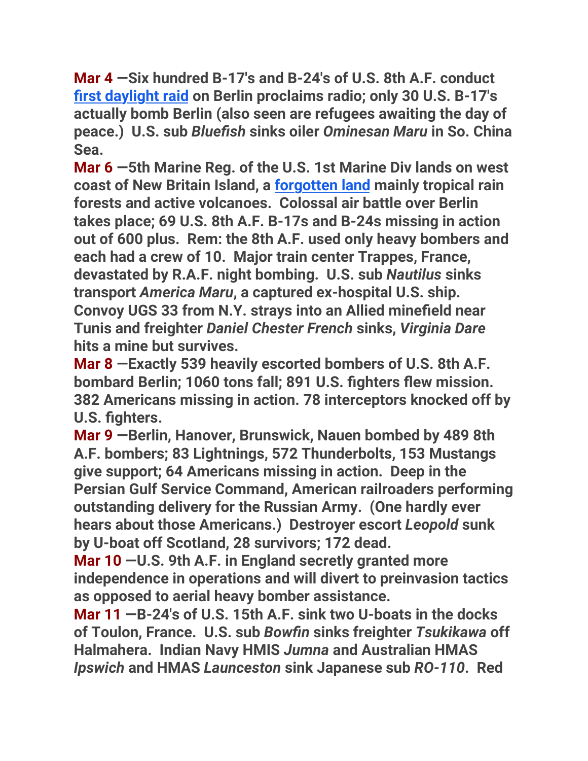**Mar 4 —Six hundred B-17's and B-24's of U.S. 8th A.F. conduct first daylight raid on Berlin proclaims radio; only 30 U.S. B-17's actually bomb Berlin (also seen are refugees awaiting the day of peace.) U.S. sub** *Bluefish* **sinks oiler** *Ominesan Maru* **in So. China Sea.**

**Mar 6 —5th Marine Reg. of the U.S. 1st Marine Div lands on west coast of New Britain Island, a forgotten land mainly tropical rain forests and active volcanoes. Colossal air battle over Berlin takes place; 69 U.S. 8th A.F. B-17s and B-24s missing in action out of 600 plus. Rem: the 8th A.F. used only heavy bombers and each had a crew of 10. Major train center Trappes, France, devastated by R.A.F. night bombing. U.S. sub** *Nautilus* **sinks transport** *America Maru***, a captured ex-hospital U.S. ship. Convoy UGS 33 from N.Y. strays into an Allied minefield near Tunis and freighter** *Daniel Chester French* **sinks,** *Virginia Dare* **hits a mine but survives.**

**Mar 8 —Exactly 539 heavily escorted bombers of U.S. 8th A.F. bombard Berlin; 1060 tons fall; 891 U.S. fighters flew mission. 382 Americans missing in action. 78 interceptors knocked off by U.S. fighters.**

**Mar 9 —Berlin, Hanover, Brunswick, Nauen bombed by 489 8th A.F. bombers; 83 Lightnings, 572 Thunderbolts, 153 Mustangs give support; 64 Americans missing in action. Deep in the Persian Gulf Service Command, American railroaders performing outstanding delivery for the Russian Army. (One hardly ever hears about those Americans.) Destroyer escort** *Leopold* **sunk by U-boat off Scotland, 28 survivors; 172 dead.**

**Mar 10 —U.S. 9th A.F. in England secretly granted more independence in operations and will divert to preinvasion tactics as opposed to aerial heavy bomber assistance.**

**Mar 11 —B-24's of U.S. 15th A.F. sink two U-boats in the docks of Toulon, France. U.S. sub** *Bowfin* **sinks freighter** *Tsukikawa* **off Halmahera. Indian Navy HMIS** *Jumna* **and Australian HMAS**  *Ipswich* **and HMAS** *Launceston* **sink Japanese sub** *RO-110***. Red**